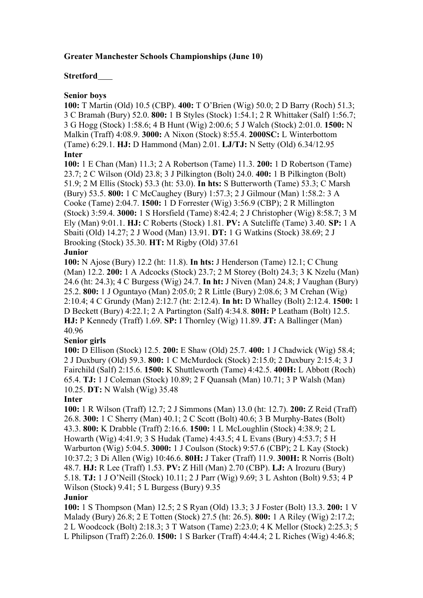# **Greater Manchester Schools Championships (June 10)**

## **Stretford**

## **Senior boys**

**100:** T Martin (Old) 10.5 (CBP). **400:** T O'Brien (Wig) 50.0; 2 D Barry (Roch) 51.3; 3 C Bramah (Bury) 52.0. **800:** 1 B Styles (Stock) 1:54.1; 2 R Whittaker (Salf) 1:56.7; 3 G Hogg (Stock) 1:58.6; 4 B Hunt (Wig) 2:00.6; 5 J Walch (Stock) 2:01.0. **1500:** N Malkin (Traff) 4:08.9. **3000:** A Nixon (Stock) 8:55.4. **2000SC:** L Winterbottom (Tame) 6:29.1. **HJ:** D Hammond (Man) 2.01. **LJ/TJ:** N Setty (Old) 6.34/12.95 **Inter**

**100:** 1 E Chan (Man) 11.3; 2 A Robertson (Tame) 11.3. **200:** 1 D Robertson (Tame) 23.7; 2 C Wilson (Old) 23.8; 3 J Pilkington (Bolt) 24.0. **400:** 1 B Pilkington (Bolt) 51.9; 2 M Ellis (Stock) 53.3 (ht: 53.0). **In hts:** S Butterworth (Tame) 53.3; C Marsh (Bury) 53.5. **800:** 1 C McCaughey (Bury) 1:57.3; 2 J Gilmour (Man) 1:58.2: 3 A Cooke (Tame) 2:04.7. **1500:** 1 D Forrester (Wig) 3:56.9 (CBP); 2 R Millington (Stock) 3:59.4. **3000:** 1 S Horsfield (Tame) 8:42.4; 2 J Christopher (Wig) 8:58.7; 3 M Ely (Man) 9:01.1. **HJ:** C Roberts (Stock) 1.81. **PV:** A Sutcliffe (Tame) 3.40. **SP:** 1 A Sbaiti (Old) 14.27; 2 J Wood (Man) 13.91. **DT:** 1 G Watkins (Stock) 38.69; 2 J Brooking (Stock) 35.30. **HT:** M Rigby (Old) 37.61

### **Junior**

**100:** N Ajose (Bury) 12.2 (ht: 11.8). **In hts:** J Henderson (Tame) 12.1; C Chung (Man) 12.2. **200:** 1 A Adcocks (Stock) 23.7; 2 M Storey (Bolt) 24.3; 3 K Nzelu (Man) 24.6 (ht: 24.3); 4 C Burgess (Wig) 24.7. **In ht:** J Niven (Man) 24.8; J Vaughan (Bury) 25.2. **800:** 1 J Oguntayo (Man) 2:05.0; 2 R Little (Bury) 2:08.6; 3 M Crehan (Wig) 2:10.4; 4 C Grundy (Man) 2:12.7 (ht: 2:12.4). **In ht:** D Whalley (Bolt) 2:12.4. **1500:** 1 D Beckett (Bury) 4:22.1; 2 A Partington (Salf) 4:34.8. **80H:** P Leatham (Bolt) 12.5. **HJ:** P Kennedy (Traff) 1.69. **SP:** I Thornley (Wig) 11.89. **JT:** A Ballinger (Man) 40.96

# **Senior girls**

**100:** D Ellison (Stock) 12.5. **200:** E Shaw (Old) 25.7. **400:** 1 J Chadwick (Wig) 58.4; 2 J Duxbury (Old) 59.3. **800:** 1 C McMurdock (Stock) 2:15.0; 2 Duxbury 2:15.4; 3 J Fairchild (Salf) 2:15.6. **1500:** K Shuttleworth (Tame) 4:42.5. **400H:** L Abbott (Roch) 65.4. **TJ:** 1 J Coleman (Stock) 10.89; 2 F Quansah (Man) 10.71; 3 P Walsh (Man) 10.25. **DT:** N Walsh (Wig) 35.48

#### **Inter**

**100:** 1 R Wilson (Traff) 12.7; 2 J Simmons (Man) 13.0 (ht: 12.7). **200:** Z Reid (Traff) 26.8. **300:** 1 C Sherry (Man) 40.1; 2 C Scott (Bolt) 40.6; 3 B Murphy-Bates (Bolt) 43.3. **800:** K Drabble (Traff) 2:16.6. **1500:** 1 L McLoughlin (Stock) 4:38.9; 2 L Howarth (Wig) 4:41.9; 3 S Hudak (Tame) 4:43.5; 4 L Evans (Bury) 4:53.7; 5 H Warburton (Wig) 5:04.5. **3000:** 1 J Coulson (Stock) 9:57.6 (CBP); 2 L Kay (Stock) 10:37.2; 3 Di Allen (Wig) 10:46.6. **80H:** J Taker (Traff) 11.9. **300H:** R Norris (Bolt) 48.7. **HJ:** R Lee (Traff) 1.53. **PV:** Z Hill (Man) 2.70 (CBP). **LJ:** A Irozuru (Bury) 5.18. **TJ:** 1 J O'Neill (Stock) 10.11; 2 J Parr (Wig) 9.69; 3 L Ashton (Bolt) 9.53; 4 P Wilson (Stock) 9.41; 5 L Burgess (Bury) 9.35

### **Junior**

**100:** 1 S Thompson (Man) 12.5; 2 S Ryan (Old) 13.3; 3 J Foster (Bolt) 13.3. **200:** 1 V Malady (Bury) 26.8; 2 E Totten (Stock) 27.5 (ht: 26.5). **800:** 1 A Riley (Wig) 2:17.2; 2 L Woodcock (Bolt) 2:18.3; 3 T Watson (Tame) 2:23.0; 4 K Mellor (Stock) 2:25.3; 5 L Philipson (Traff) 2:26.0. **1500:** 1 S Barker (Traff) 4:44.4; 2 L Riches (Wig) 4:46.8;